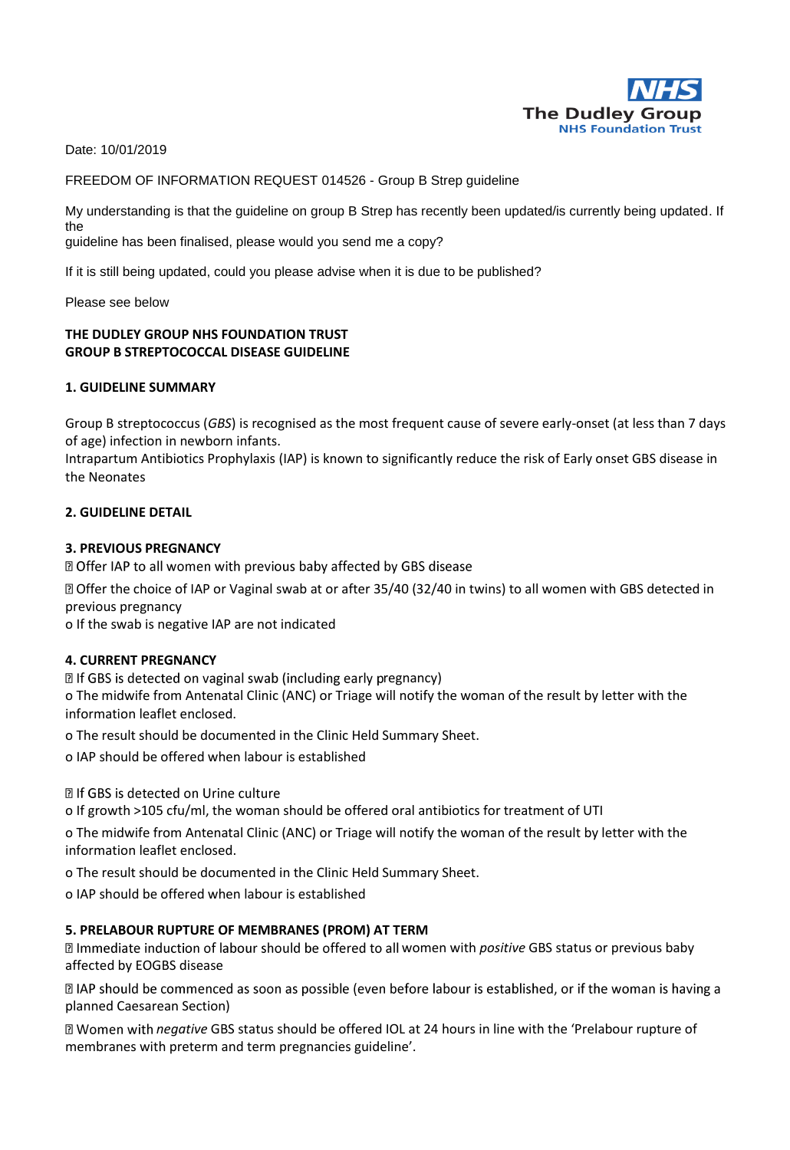

Date: 10/01/2019

FREEDOM OF INFORMATION REQUEST 014526 - Group B Strep guideline

My understanding is that the guideline on group B Strep has recently been updated/is currently being updated. If the

guideline has been finalised, please would you send me a copy?

If it is still being updated, could you please advise when it is due to be published?

Please see below

## **THE DUDLEY GROUP NHS FOUNDATION TRUST GROUP B STREPTOCOCCAL DISEASE GUIDELINE**

## **1. GUIDELINE SUMMARY**

Group B streptococcus (*GBS*) is recognised as the most frequent cause of severe early-onset (at less than 7 days of age) infection in newborn infants.

Intrapartum Antibiotics Prophylaxis (IAP) is known to significantly reduce the risk of Early onset GBS disease in the Neonates

#### **2. GUIDELINE DETAIL**

#### **3. PREVIOUS PREGNANCY**

**D** Offer IAP to all women with previous baby affected by GBS disease

Offer the choice of IAP or Vaginal swab at or after 35/40 (32/40 in twins) to all women with GBS detected in previous pregnancy

o If the swab is negative IAP are not indicated

#### **4. CURRENT PREGNANCY**

**<b>***<u></u>* If GBS is detected on vaginal swab (including early pregnancy)

o The midwife from Antenatal Clinic (ANC) or Triage will notify the woman of the result by letter with the information leaflet enclosed.

o The result should be documented in the Clinic Held Summary Sheet.

o IAP should be offered when labour is established

**图If GBS is detected on Urine culture** 

o If growth >105 cfu/ml, the woman should be offered oral antibiotics for treatment of UTI

o The midwife from Antenatal Clinic (ANC) or Triage will notify the woman of the result by letter with the information leaflet enclosed.

o The result should be documented in the Clinic Held Summary Sheet.

o IAP should be offered when labour is established

## **5. PRELABOUR RUPTURE OF MEMBRANES (PROM) AT TERM**

**Immediate induction of labour should be offered to all women with** *positive* **GBS status or previous baby** affected by EOGBS disease

**If the should be commenced as soon as possible (even before labour is established, or if the woman is having a** planned Caesarean Section)

*negative* GBS status should be offered IOL at 24 hours in line with the 'Prelabour rupture of membranes with preterm and term pregnancies guideline'.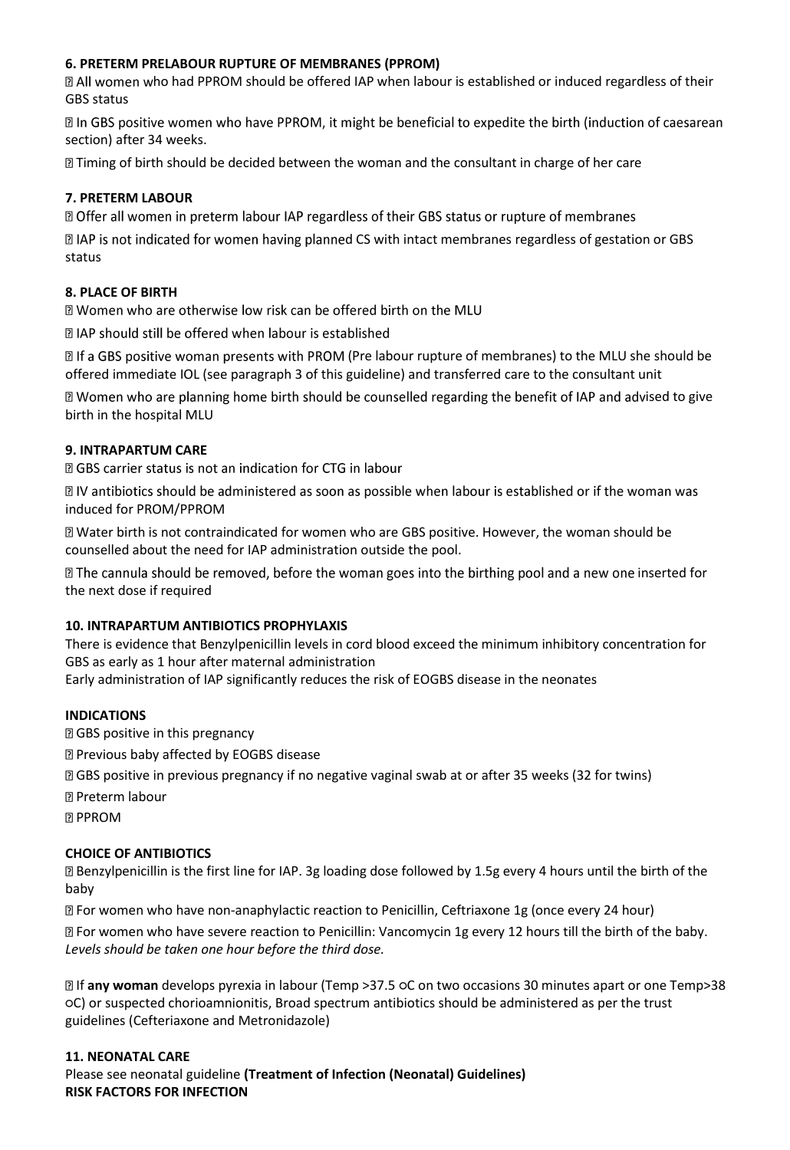# **6. PRETERM PRELABOUR RUPTURE OF MEMBRANES (PPROM)**

**If All women who had PPROM should be offered IAP when labour is established or induced regardless of their** GBS status

In GBS positive women who have PPROM, it might be beneficial to expedite the birth (induction of caesarean section) after 34 weeks.

**If** Timing of birth should be decided between the woman and the consultant in charge of her care

# **7. PRETERM LABOUR**

X Offer all women in preterm labour IAP regardless of their GBS status or rupture of membranes

 $\boxtimes$  IAP is not indicated for women having planned CS with intact membranes regardless of gestation or GBS status

## **8. PLACE OF BIRTH**

a Women who are otherwise low risk can be offered birth on the MLU

**DIAP should still be offered when labour is established** 

**If a GBS positive woman presents with PROM (Pre labour rupture of membranes) to the MLU she should be** offered immediate IOL (see paragraph 3 of this guideline) and transferred care to the consultant unit

If Women who are planning home birth should be counselled regarding the benefit of IAP and advised to give birth in the hospital MLU

## **9. INTRAPARTUM CARE**

**D** GBS carrier status is not an indication for CTG in labour

**D** IV antibiotics should be administered as soon as possible when labour is established or if the woman was induced for PROM/PPROM

Water birth is not contraindicated for women who are GBS positive. However, the woman should be counselled about the need for IAP administration outside the pool.

 $\mathbb D$  The cannula should be removed, before the woman goes into the birthing pool and a new one inserted for the next dose if required

## **10. INTRAPARTUM ANTIBIOTICS PROPHYLAXIS**

There is evidence that Benzylpenicillin levels in cord blood exceed the minimum inhibitory concentration for GBS as early as 1 hour after maternal administration

Early administration of IAP significantly reduces the risk of EOGBS disease in the neonates

## **INDICATIONS**

GBS positive in this pregnancy

Previous baby affected by EOGBS disease

GBS positive in previous pregnancy if no negative vaginal swab at or after 35 weeks (32 for twins)

**图 Preterm labour** 

**PPROM** 

# **CHOICE OF ANTIBIOTICS**

Benzylpenicillin is the first line for IAP. 3g loading dose followed by 1.5g every 4 hours until the birth of the baby

For women who have non-anaphylactic reaction to Penicillin, Ceftriaxone 1g (once every 24 hour)

For women who have severe reaction to Penicillin: Vancomycin 1g every 12 hours till the birth of the baby. *Levels should be taken one hour before the third dose.* 

If **any woman** develops pyrexia in labour (Temp >37.5 ○C on two occasions 30 minutes apart or one Temp>38 ○C) or suspected chorioamnionitis, Broad spectrum antibiotics should be administered as per the trust guidelines (Cefteriaxone and Metronidazole)

# **11. NEONATAL CARE**

Please see neonatal guideline **(Treatment of Infection (Neonatal) Guidelines) RISK FACTORS FOR INFECTION**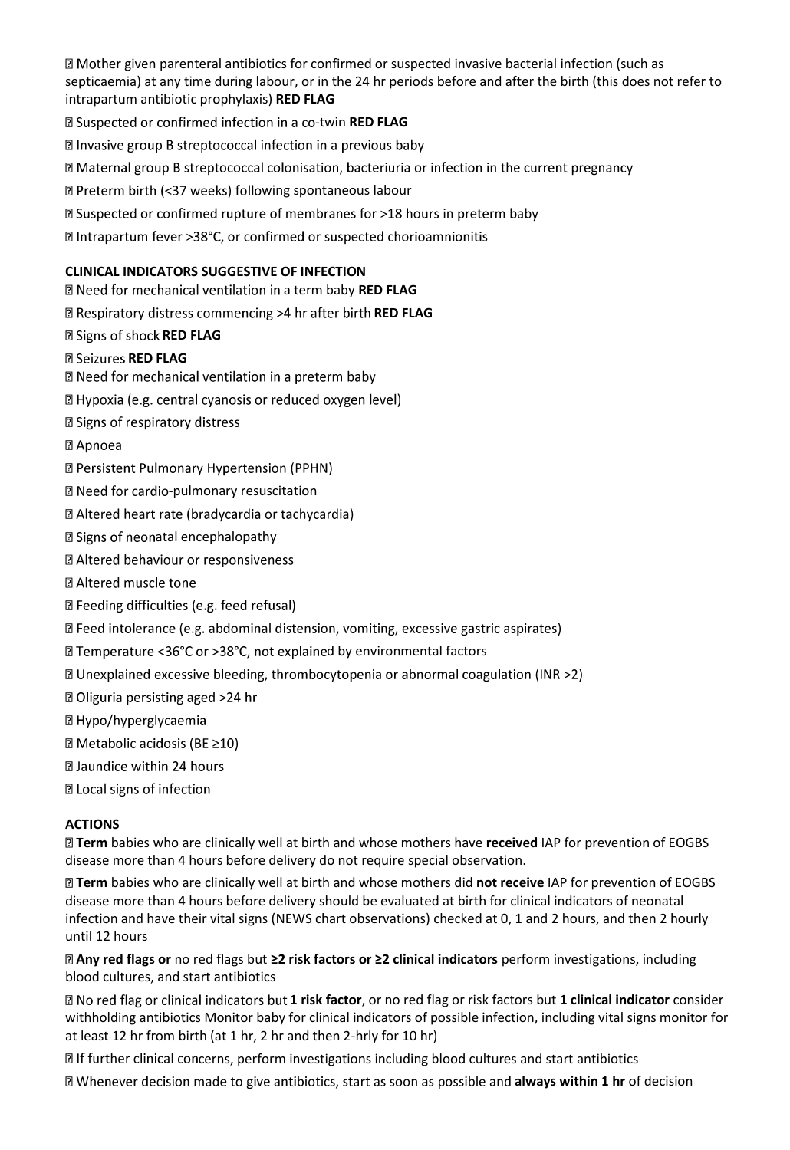**If Mother given parenteral antibiotics for confirmed or suspected invasive bacterial infection (such as** septicaemia) at any time during labour, or in the 24 hr periods before and after the birth (this does not refer to intrapartum antibiotic prophylaxis) **RED FLAG** 

**Example 3 Suspected or confirmed infection in a co-twin RED FLAG** 

Ill Invasive group B streptococcal infection in a previous baby

⊠ Maternal group B streptococcal colonisation, bacteriuria or infection in the current pregnancy

**Z Preterm birth (<37 weeks) following spontaneous labour** 

**sqrt825 23** Suspected or confirmed rupture of membranes for >18 hours in preterm baby

**sqrt21** Intrapartum fever >38°C, or confirmed or suspected chorioamnionitis

## **CLINICAL INDICATORS SUGGESTIVE OF INFECTION**

**D** Need for mechanical ventilation in a term baby **RED FLAG** 

**Respiratory distress commencing >4 hr after birth RED FLAG** 

## **R** Signs of shock **RED FLAG**

## **R** Seizures RED FLAG

**Z** Need for mechanical ventilation in a preterm baby

[2] Hypoxia (e.g. central cyanosis or reduced oxygen level)

**Z** Signs of respiratory distress

**2 Apnoea** 

- **D** Persistent Pulmonary Hypertension (PPHN)
- **D** Need for cardio-pulmonary resuscitation
- **D** Altered heart rate (bradycardia or tachycardia)
- **2** Signs of neonatal encephalopathy
- **2 Altered behaviour or responsiveness**
- **2 Altered muscle tone**
- **D** Feeding difficulties (e.g. feed refusal)
- **If Feed intolerance (e.g. abdominal distension, vomiting, excessive gastric aspirates)**
- **D** Temperature <36°C or >38°C, not explained by environmental factors
- **If Unexplained excessive bleeding, thrombocytopenia or abnormal coagulation (INR >2)**
- **D** Oliguria persisting aged >24 hr
- **2 Hypo/hyperglycaemia**
- **Z** Metabolic acidosis (BE ≥10)
- a Jaundice within 24 hours
- 2 Local signs of infection

## **ACTIONS**

**Term** babies who are clinically well at birth and whose mothers have **received** IAP for prevention of EOGBS disease more than 4 hours before delivery do not require special observation.

**Term** babies who are clinically well at birth and whose mothers did **not receive** IAP for prevention of EOGBS disease more than 4 hours before delivery should be evaluated at birth for clinical indicators of neonatal infection and have their vital signs (NEWS chart observations) checked at 0, 1 and 2 hours, and then 2 hourly until 12 hours

**Any red flags or** no red flags but **≥2 risk factors or ≥2 clinical indicators** perform investigations, including blood cultures, and start antibiotics

**1** No red flag or clinical indicators but 1 risk factor, or no red flag or risk factors but 1 clinical indicator consider withholding antibiotics Monitor baby for clinical indicators of possible infection, including vital signs monitor for at least 12 hr from birth (at 1 hr, 2 hr and then 2-hrly for 10 hr)

 $\mathbb B$  If further clinical concerns, perform investigations including blood cultures and start antibiotics

**alla** Whenever decision made to give antibiotics, start as soon as possible and **always within 1 hr** of decision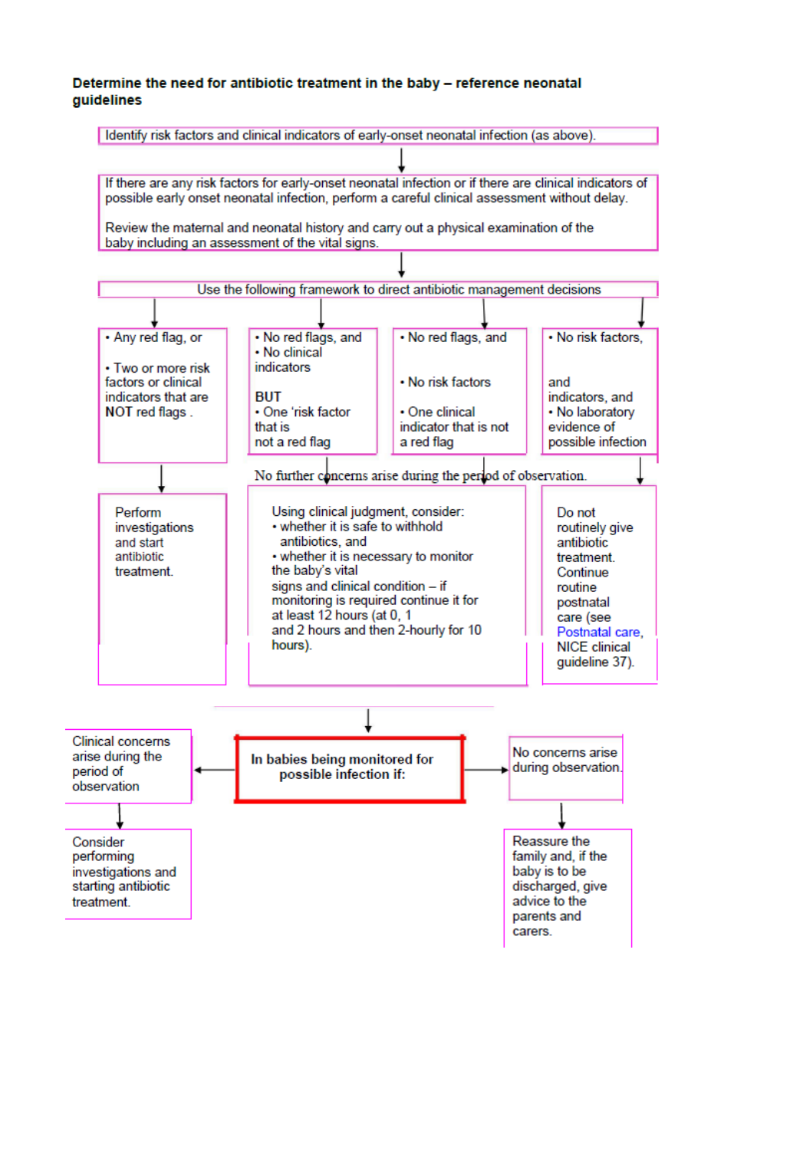#### Determine the need for antibiotic treatment in the baby - reference neonatal **auidelines**